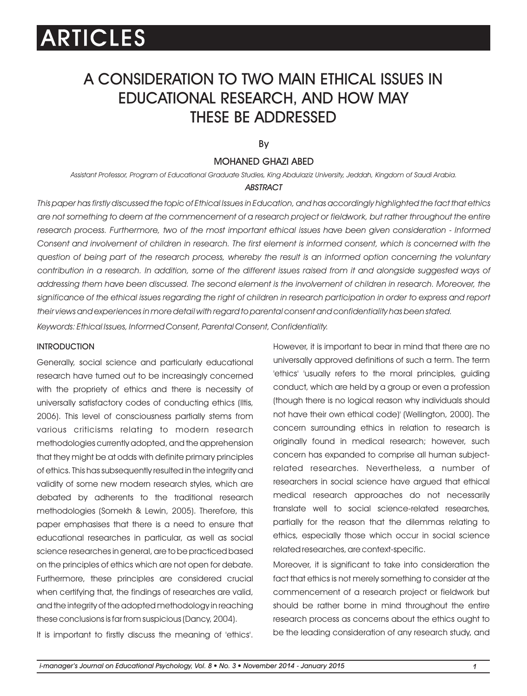# A CONSIDERATION TO TWO MAIN ETHICAL ISSUES IN EDUCATIONAL RESEARCH, AND HOW MAY THESE BE ADDRESSED

By

### MOHANED GHAZI ABED

*Assistant Professor, Program of Educational Graduate Studies, King Abdulaziz University, Jeddah, Kingdom of Saudi Arabia.*

#### *ABSTRACT*

*This paper has firstly discussed the topic of Ethical Issues in Education, and has accordingly highlighted the fact that ethics are not something to deem at the commencement of a research project or fieldwork, but rather throughout the entire research process. Furthermore, two of the most important ethical issues have been given consideration - Informed*  Consent and involvement of children in research. The first element is informed consent, which is concerned with the *question of being part of the research process, whereby the result is an informed option concerning the voluntary*  contribution in a research. In addition, some of the different issues raised from it and alongside suggested ways of *addressing them have been discussed. The second element is the involvement of children in research. Moreover, the significance of the ethical issues regarding the right of children in research participation in order to express and report their views and experiences in more detail with regard to parental consent and confidentiality has been stated.*

*Keywords: Ethical Issues, Informed Consent, Parental Consent, Confidentiality.*

#### **INTRODUCTION**

Generally, social science and particularly educational research have turned out to be increasingly concerned with the propriety of ethics and there is necessity of universally satisfactory codes of conducting ethics (Iltis, 2006). This level of consciousness partially stems from various criticisms relating to modern research methodologies currently adopted, and the apprehension that they might be at odds with definite primary principles of ethics. This has subsequently resulted in the integrity and validity of some new modern research styles, which are debated by adherents to the traditional research methodologies (Somekh & Lewin, 2005). Therefore, this paper emphasises that there is a need to ensure that educational researches in particular, as well as social science researches in general, are to be practiced based on the principles of ethics which are not open for debate. Furthermore, these principles are considered crucial when certifying that, the findings of researches are valid, and the integrity of the adopted methodology in reaching these conclusions is far from suspicious (Dancy, 2004).

It is important to firstly discuss the meaning of 'ethics'.

However, it is important to bear in mind that there are no universally approved definitions of such a term. The term 'ethics' 'usually refers to the moral principles, guiding conduct, which are held by a group or even a profession (though there is no logical reason why individuals should not have their own ethical code)' (Wellington, 2000). The concern surrounding ethics in relation to research is originally found in medical research; however, such concern has expanded to comprise all human subjectrelated researches. Nevertheless, a number of researchers in social science have argued that ethical medical research approaches do not necessarily translate well to social science-related researches, partially for the reason that the dilemmas relating to ethics, especially those which occur in social science related researches, are context-specific.

Moreover, it is significant to take into consideration the fact that ethics is not merely something to consider at the commencement of a research project or fieldwork but should be rather borne in mind throughout the entire research process as concerns about the ethics ought to be the leading consideration of any research study, and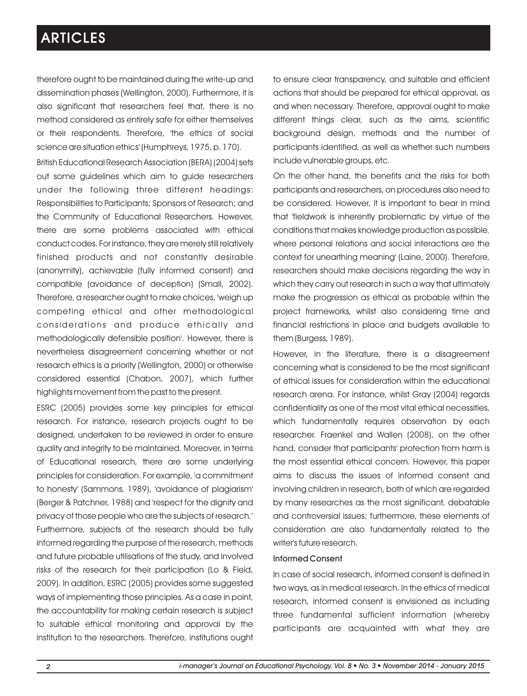therefore ought to be maintained during the write-up and dissemination phases (Wellington, 2000). Furthermore, it is also significant that researchers feel that, there is no method considered as entirely safe for either themselves or their respondents. Therefore, 'the ethics of social science are situation ethics' (Humphreys, 1975, p. 170).

British Educational Research Association (BERA) (2004) sets out some guidelines which aim to guide researchers under the following three different headings: Responsibilities to Participants; Sponsors of Research; and the Community of Educational Researchers. However, there are some problems associated with ethical conduct codes. For instance, they are merely still relatively finished products and not constantly desirable (anonymity), achievable (fully informed consent) and compatible (avoidance of deception) (Small, 2002). Therefore, a researcher ought to make choices, 'weigh up competing ethical and other methodological considerations and produce ethically and methodologically defensible position'. However, there is nevertheless disagreement concerning whether or not research ethics is a priority (Wellington, 2000) or otherwise considered essential (Chabon, 2007), which further highlights movement from the past to the present.

ESRC (2005) provides some key principles for ethical research. For instance, research projects ought to be designed, undertaken to be reviewed in order to ensure quality and integrity to be maintained. Moreover, in terms of Educational research, there are some underlying principles for consideration. For example, 'a commitment to honesty' (Sammons, 1989), 'avoidance of plagiarism' (Berger & Patchner, 1988) and 'respect for the dignity and privacy of those people who are the subjects of research.' Furthermore, subjects of the research should be fully informed regarding the purpose of the research, methods and future probable utilisations of the study, and involved risks of the research for their participation (Lo & Field, 2009). In addition, ESRC (2005) provides some suggested ways of implementing those principles. As a case in point, the accountability for making certain research is subject to suitable ethical monitoring and approval by the institution to the researchers. Therefore, institutions ought to ensure clear transparency, and suitable and efficient actions that should be prepared for ethical approval, as and when necessary. Therefore, approval ought to make different things clear, such as the aims, scientific background design, methods and the number of participants identified, as well as whether such numbers include vulnerable groups, etc.

On the other hand, the benefits and the risks for both participants and researchers, on procedures also need to be considered. However, it is important to bear in mind that 'fieldwork is inherently problematic by virtue of the conditions that makes knowledge production as possible. where personal relations and social interactions are the context for unearthing meaning' (Laine, 2000). Therefore, researchers should make decisions regarding the way in which they carry out research in such a way that ultimately make the progression as ethical as probable within the project frameworks, whilst also considering time and financial restrictions in place and budgets available to them (Burgess, 1989).

However, in the literature, there is a disagreement concerning what is considered to be the most significant of ethical issues for consideration within the educational research arena. For instance, whilst Gray (2004) regards confidentiality as one of the most vital ethical necessities, which fundamentally requires observation by each researcher. Fraenkel and Wallen (2008), on the other hand, consider that participants' protection from harm is the most essential ethical concern. However, this paper aims to discuss the issues of informed consent and involving children in research, both of which are regarded by many researches as the most significant, debatable and controversial issues; furthermore, these elements of consideration are also fundamentally related to the writer's future research.

#### Informed Consent

In case of social research, informed consent is defined in two ways, as in medical research. In the ethics of medical research, informed consent is envisioned as including three fundamental sufficient information (whereby participants are acquainted with what they are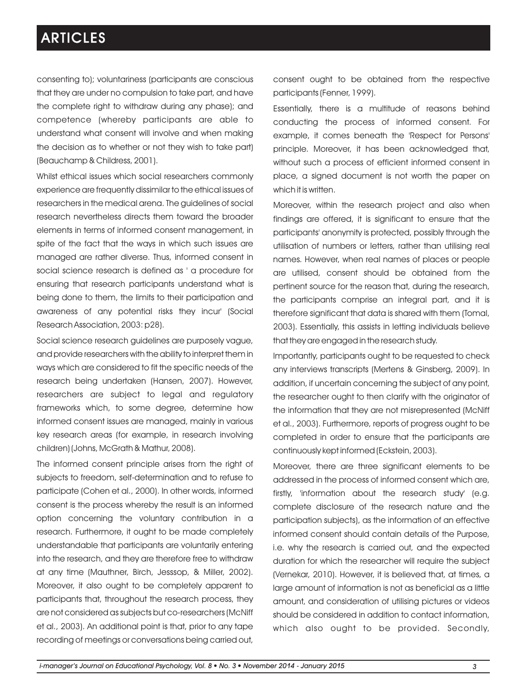consenting to); voluntariness (participants are conscious that they are under no compulsion to take part, and have the complete right to withdraw during any phase); and competence (whereby participants are able to understand what consent will involve and when making the decision as to whether or not they wish to take part) (Beauchamp & Childress, 2001).

Whilst ethical issues which social researchers commonly experience are frequently dissimilar to the ethical issues of researchers in the medical arena. The guidelines of social research nevertheless directs them toward the broader elements in terms of informed consent management, in spite of the fact that the ways in which such issues are managed are rather diverse. Thus, informed consent in social science research is defined as ' a procedure for ensuring that research participants understand what is being done to them, the limits to their participation and awareness of any potential risks they incur' (Social Research Association, 2003: p28).

Social science research guidelines are purposely vague, and provide researchers with the ability to interpret them in ways which are considered to fit the specific needs of the research being undertaken (Hansen, 2007). However, researchers are subject to legal and regulatory frameworks which, to some degree, determine how informed consent issues are managed, mainly in various key research areas (for example, in research involving children) (Johns, McGrath & Mathur, 2008).

The informed consent principle arises from the right of subjects to freedom, self-determination and to refuse to participate (Cohen et al., 2000). In other words, informed consent is the process whereby the result is an informed option concerning the voluntary contribution in a research. Furthermore, it ought to be made completely understandable that participants are voluntarily entering into the research, and they are therefore free to withdraw at any time (Mauthner, Birch, Jesssop, & Miller, 2002). Moreover, it also ought to be completely apparent to participants that, throughout the research process, they are not considered as subjects but co-researchers (McNiff et al., 2003). An additional point is that, prior to any tape recording of meetings or conversations being carried out, consent ought to be obtained from the respective participants (Fenner, 1999).

Essentially, there is a multitude of reasons behind conducting the process of informed consent. For example, it comes beneath the 'Respect for Persons' principle. Moreover, it has been acknowledged that, without such a process of efficient informed consent in place, a signed document is not worth the paper on which it is written.

Moreover, within the research project and also when findings are offered, it is significant to ensure that the participants' anonymity is protected, possibly through the utilisation of numbers or letters, rather than utilising real names. However, when real names of places or people are utilised, consent should be obtained from the pertinent source for the reason that, during the research, the participants comprise an integral part, and it is therefore significant that data is shared with them (Tomal, 2003). Essentially, this assists in letting individuals believe that they are engaged in the research study.

Importantly, participants ought to be requested to check any interviews transcripts (Mertens & Ginsberg, 2009). In addition, if uncertain concerning the subject of any point, the researcher ought to then clarify with the originator of the information that they are not misrepresented (McNiff et al., 2003). Furthermore, reports of progress ought to be completed in order to ensure that the participants are continuously kept informed (Eckstein, 2003).

Moreover, there are three significant elements to be addressed in the process of informed consent which are, firstly, 'information about the research study' (e.g. complete disclosure of the research nature and the participation subjects), as the information of an effective informed consent should contain details of the Purpose, i.e. why the research is carried out, and the expected duration for which the researcher will require the subject (Vernekar, 2010). However, it is believed that, at times, a large amount of information is not as beneficial as a little amount, and consideration of utilising pictures or videos should be considered in addition to contact information, which also ought to be provided. Secondly,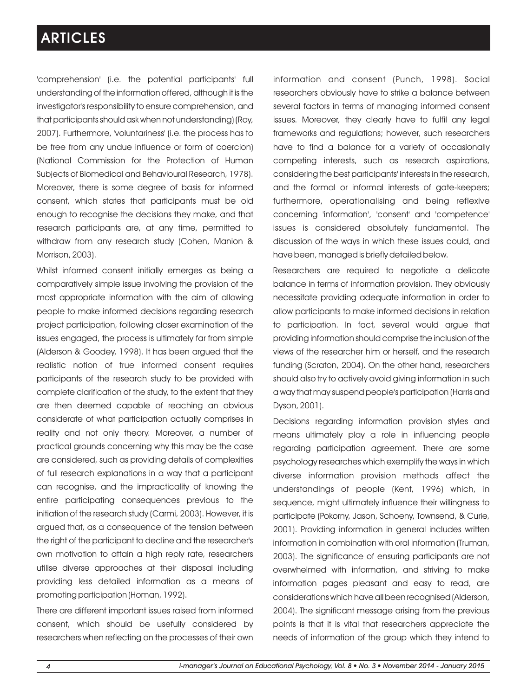'comprehension' (i.e. the potential participants' full understanding of the information offered, although it is the investigator's responsibility to ensure comprehension, and that participants should ask when not understanding) (Roy, 2007). Furthermore, 'voluntariness' (i.e. the process has to be free from any undue influence or form of coercion) (National Commission for the Protection of Human Subjects of Biomedical and Behavioural Research, 1978). Moreover, there is some degree of basis for informed consent, which states that participants must be old enough to recognise the decisions they make, and that research participants are, at any time, permitted to withdraw from any research study (Cohen, Manion & Morrison, 2003).

Whilst informed consent initially emerges as being a comparatively simple issue involving the provision of the most appropriate information with the aim of allowing people to make informed decisions regarding research project participation, following closer examination of the issues engaged, the process is ultimately far from simple (Alderson & Goodey, 1998). It has been argued that the realistic notion of true informed consent requires participants of the research study to be provided with complete clarification of the study, to the extent that they are then deemed capable of reaching an obvious considerate of what participation actually comprises in reality and not only theory. Moreover, a number of practical grounds concerning why this may be the case are considered, such as providing details of complexities of full research explanations in a way that a participant can recognise, and the impracticality of knowing the entire participating consequences previous to the initiation of the research study (Carmi, 2003). However, it is argued that, as a consequence of the tension between the right of the participant to decline and the researcher's own motivation to attain a high reply rate, researchers utilise diverse approaches at their disposal including providing less detailed information as a means of promoting participation (Homan, 1992).

There are different important issues raised from informed consent, which should be usefully considered by researchers when reflecting on the processes of their own information and consent (Punch, 1998). Social researchers obviously have to strike a balance between several factors in terms of managing informed consent issues. Moreover, they clearly have to fulfil any legal frameworks and regulations; however, such researchers have to find a balance for a variety of occasionally competing interests, such as research aspirations, considering the best participants' interests in the research, and the formal or informal interests of gate-keepers; furthermore, operationalising and being reflexive concerning 'information', 'consent' and 'competence' issues is considered absolutely fundamental. The discussion of the ways in which these issues could, and have been, managed is briefly detailed below.

Researchers are required to negotiate a delicate balance in terms of information provision. They obviously necessitate providing adequate information in order to allow participants to make informed decisions in relation to participation. In fact, several would argue that providing information should comprise the inclusion of the views of the researcher him or herself, and the research funding (Scraton, 2004). On the other hand, researchers should also try to actively avoid giving information in such a way that may suspend people's participation (Harris and Dyson, 2001).

Decisions regarding information provision styles and means ultimately play a role in influencing people regarding participation agreement. There are some psychology researches which exemplify the ways in which diverse information provision methods affect the understandings of people (Kent, 1996) which, in sequence, might ultimately influence their willingness to participate (Pokorny, Jason, Schoeny, Townsend, & Curie, 2001). Providing information in general includes written information in combination with oral information (Truman, 2003). The significance of ensuring participants are not overwhelmed with information, and striving to make information pages pleasant and easy to read, are considerations which have all been recognised (Alderson, 2004). The significant message arising from the previous points is that it is vital that researchers appreciate the needs of information of the group which they intend to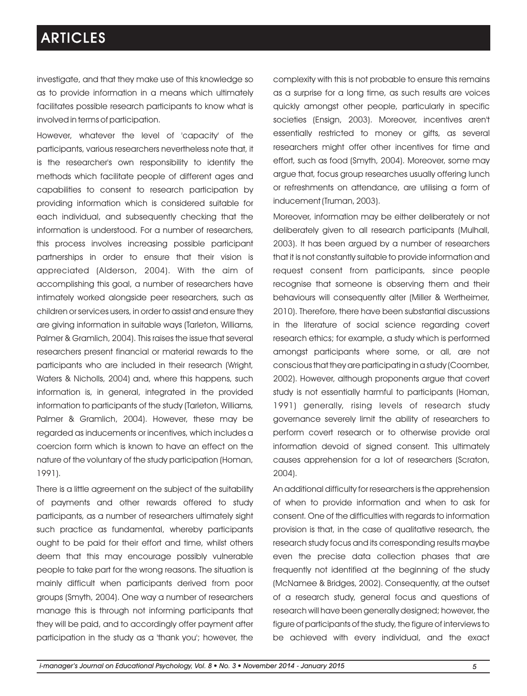investigate, and that they make use of this knowledge so as to provide information in a means which ultimately facilitates possible research participants to know what is involved in terms of participation.

However, whatever the level of 'capacity' of the participants, various researchers nevertheless note that, it is the researcher's own responsibility to identify the methods which facilitate people of different ages and capabilities to consent to research participation by providing information which is considered suitable for each individual, and subsequently checking that the information is understood. For a number of researchers, this process involves increasing possible participant partnerships in order to ensure that their vision is appreciated (Alderson, 2004). With the aim of accomplishing this goal, a number of researchers have intimately worked alongside peer researchers, such as children or services users, in order to assist and ensure they are giving information in suitable ways (Tarleton, Williams, Palmer & Gramlich, 2004). This raises the issue that several researchers present financial or material rewards to the participants who are included in their research (Wright, Waters & Nicholls, 2004) and, where this happens, such information is, in general, integrated in the provided information to participants of the study (Tarleton, Williams, Palmer & Gramlich, 2004). However, these may be regarded as inducements or incentives, which includes a coercion form which is known to have an effect on the nature of the voluntary of the study participation (Homan, 1991).

There is a little agreement on the subject of the suitability of payments and other rewards offered to study participants, as a number of researchers ultimately sight such practice as fundamental, whereby participants ought to be paid for their effort and time, whilst others deem that this may encourage possibly vulnerable people to take part for the wrong reasons. The situation is mainly difficult when participants derived from poor groups (Smyth, 2004). One way a number of researchers manage this is through not informing participants that they will be paid, and to accordingly offer payment after participation in the study as a 'thank you'; however, the complexity with this is not probable to ensure this remains as a surprise for a long time, as such results are voices quickly amongst other people, particularly in specific societies (Ensign, 2003). Moreover, incentives aren't essentially restricted to money or gifts, as several researchers might offer other incentives for time and effort, such as food (Smyth, 2004). Moreover, some may argue that, focus group researches usually offering lunch or refreshments on attendance, are utilising a form of inducement (Truman, 2003).

Moreover, information may be either deliberately or not deliberately given to all research participants (Mulhall, 2003). It has been argued by a number of researchers that it is not constantly suitable to provide information and request consent from participants, since people recognise that someone is observing them and their behaviours will consequently alter (Miller & Wertheimer, 2010). Therefore, there have been substantial discussions in the literature of social science regarding covert research ethics; for example, a study which is performed amongst participants where some, or all, are not conscious that they are participating in a study (Coomber, 2002). However, although proponents argue that covert study is not essentially harmful to participants (Homan, 1991) generally, rising levels of research study governance severely limit the ability of researchers to perform covert research or to otherwise provide oral information devoid of signed consent. This ultimately causes apprehension for a lot of researchers (Scraton, 2004).

An additional difficulty for researchers is the apprehension of when to provide information and when to ask for consent. One of the difficulties with regards to information provision is that, in the case of qualitative research, the research study focus and its corresponding results maybe even the precise data collection phases that are frequently not identified at the beginning of the study (McNamee & Bridges, 2002). Consequently, at the outset of a research study, general focus and questions of research will have been generally designed; however, the figure of participants of the study, the figure of interviews to be achieved with every individual, and the exact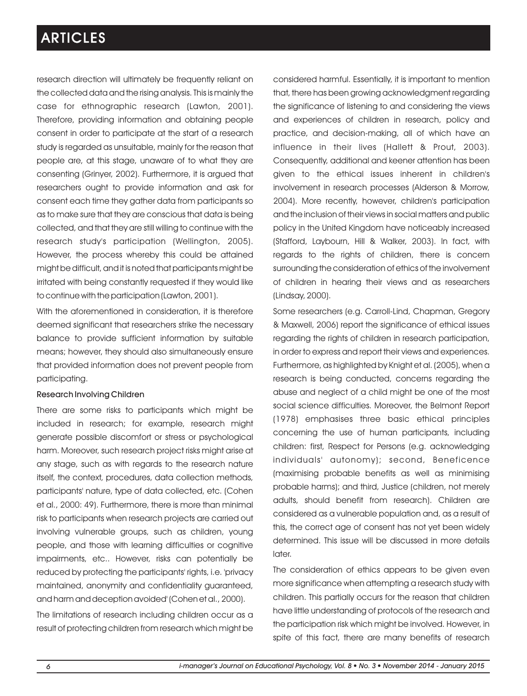research direction will ultimately be frequently reliant on the collected data and the rising analysis. This is mainly the case for ethnographic research (Lawton, 2001). Therefore, providing information and obtaining people consent in order to participate at the start of a research study is regarded as unsuitable, mainly for the reason that people are, at this stage, unaware of to what they are consenting (Grinyer, 2002). Furthermore, it is argued that researchers ought to provide information and ask for consent each time they gather data from participants so as to make sure that they are conscious that data is being collected, and that they are still willing to continue with the research study's participation (Wellington, 2005). However, the process whereby this could be attained might be difficult, and it is noted that participants might be irritated with being constantly requested if they would like to continue with the participation (Lawton, 2001).

With the aforementioned in consideration, it is therefore deemed significant that researchers strike the necessary balance to provide sufficient information by suitable means; however, they should also simultaneously ensure that provided information does not prevent people from participating.

#### Research Involving Children

There are some risks to participants which might be included in research; for example, research might generate possible discomfort or stress or psychological harm. Moreover, such research project risks might arise at any stage, such as with regards to the research nature itself, the context, procedures, data collection methods, participants' nature, type of data collected, etc. (Cohen et al., 2000: 49). Furthermore, there is more than minimal risk to participants when research projects are carried out involving vulnerable groups, such as children, young people, and those with learning difficulties or cognitive impairments, etc.. However, risks can potentially be reduced by protecting the participants' rights, i.e. 'privacy maintained, anonymity and confidentiality guaranteed, and harm and deception avoided' (Cohen et al., 2000).

The limitations of research including children occur as a result of protecting children from research which might be considered harmful. Essentially, it is important to mention that, there has been growing acknowledgment regarding the significance of listening to and considering the views and experiences of children in research, policy and practice, and decision-making, all of which have an influence in their lives (Hallett & Prout, 2003). Consequently, additional and keener attention has been given to the ethical issues inherent in children's involvement in research processes (Alderson & Morrow, 2004). More recently, however, children's participation and the inclusion of their views in social matters and public policy in the United Kingdom have noticeably increased (Stafford, Laybourn, Hill & Walker, 2003). In fact, with regards to the rights of children, there is concern surrounding the consideration of ethics of the involvement of children in hearing their views and as researchers (Lindsay, 2000).

Some researchers (e.g. Carroll-Lind, Chapman, Gregory & Maxwell, 2006) report the significance of ethical issues regarding the rights of children in research participation, in order to express and report their views and experiences. Furthermore, as highlighted by Knight et al. (2005), when a research is being conducted, concerns regarding the abuse and neglect of a child might be one of the most social science difficulties. Moreover, the Belmont Report (1978) emphasises three basic ethical principles concerning the use of human participants, including children: first, Respect for Persons (e.g. acknowledging individuals' autonomy); second, Beneficence (maximising probable benefits as well as minimising probable harms); and third, Justice (children, not merely adults, should benefit from research). Children are considered as a vulnerable population and, as a result of this, the correct age of consent has not yet been widely determined. This issue will be discussed in more details later.

The consideration of ethics appears to be given even more significance when attempting a research study with children. This partially occurs for the reason that children have little understanding of protocols of the research and the participation risk which might be involved. However, in spite of this fact, there are many benefits of research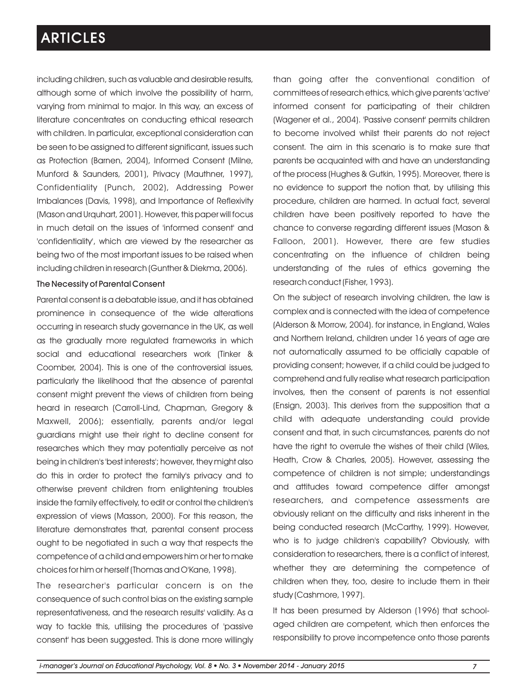including children, such as valuable and desirable results, although some of which involve the possibility of harm, varying from minimal to major. In this way, an excess of literature concentrates on conducting ethical research with children. In particular, exceptional consideration can be seen to be assigned to different significant, issues such as Protection (Barnen, 2004), Informed Consent (Milne, Munford & Saunders, 2001), Privacy (Mauthner, 1997), Confidentiality (Punch, 2002), Addressing Power Imbalances (Davis, 1998), and Importance of Reflexivity (Mason and Urquhart, 2001). However, this paper will focus in much detail on the issues of 'informed consent' and 'confidentiality', which are viewed by the researcher as being two of the most important issues to be raised when including children in research (Gunther & Diekma, 2006).

#### The Necessity of Parental Consent

Parental consent is a debatable issue, and it has obtained prominence in consequence of the wide alterations occurring in research study governance in the UK, as well as the gradually more regulated frameworks in which social and educational researchers work (Tinker & Coomber, 2004). This is one of the controversial issues, particularly the likelihood that the absence of parental consent might prevent the views of children from being heard in research (Carroll-Lind, Chapman, Gregory & Maxwell, 2006); essentially, parents and/or legal guardians might use their right to decline consent for researches which they may potentially perceive as not being in children's 'best interests'; however, they might also do this in order to protect the family's privacy and to otherwise prevent children from enlightening troubles inside the family effectively, to edit or control the children's expression of views (Masson, 2000). For this reason, the literature demonstrates that, parental consent process ought to be negotiated in such a way that respects the competence of a child and empowers him or her to make choices for him or herself (Thomas and O'Kane, 1998).

The researcher's particular concern is on the consequence of such control bias on the existing sample representativeness, and the research results' validity. As a way to tackle this, utilising the procedures of 'passive consent' has been suggested. This is done more willingly than going after the conventional condition of committees of research ethics, which give parents 'active' informed consent for participating of their children (Wagener et al., 2004). 'Passive consent' permits children to become involved whilst their parents do not reject consent. The aim in this scenario is to make sure that parents be acquainted with and have an understanding of the process (Hughes & Gutkin, 1995). Moreover, there is no evidence to support the notion that, by utilising this procedure, children are harmed. In actual fact, several children have been positively reported to have the chance to converse regarding different issues (Mason & Falloon, 2001). However, there are few studies concentrating on the influence of children being understanding of the rules of ethics governing the research conduct (Fisher, 1993).

On the subject of research involving children, the law is complex and is connected with the idea of competence (Alderson & Morrow, 2004). for instance, in England, Wales and Northern Ireland, children under 16 years of age are not automatically assumed to be officially capable of providing consent; however, if a child could be judged to comprehend and fully realise what research participation involves, then the consent of parents is not essential (Ensign, 2003). This derives from the supposition that a child with adequate understanding could provide consent and that, in such circumstances, parents do not have the right to overrule the wishes of their child (Wiles, Heath, Crow & Charles, 2005). However, assessing the competence of children is not simple; understandings and attitudes toward competence differ amongst researchers, and competence assessments are obviously reliant on the difficulty and risks inherent in the being conducted research (McCarthy, 1999). However, who is to judge children's capability? Obviously, with consideration to researchers, there is a conflict of interest, whether they are determining the competence of children when they, too, desire to include them in their study (Cashmore, 1997).

It has been presumed by Alderson (1996) that schoolaged children are competent, which then enforces the responsibility to prove incompetence onto those parents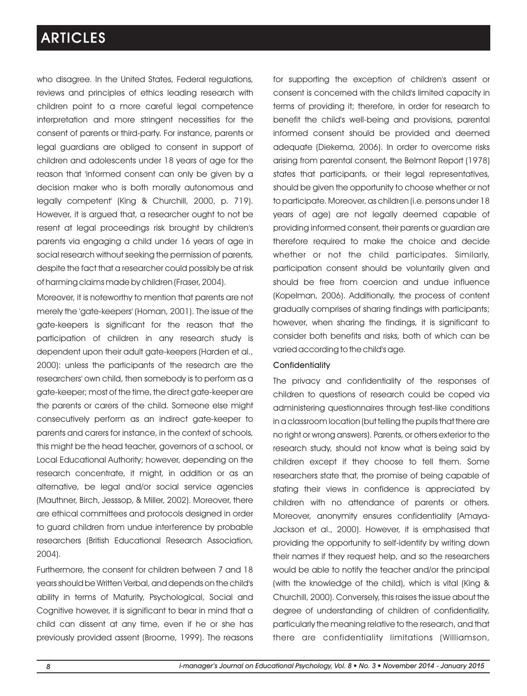who disagree. In the United States, Federal regulations, reviews and principles of ethics leading research with children point to a more careful legal competence interpretation and more stringent necessities for the consent of parents or third-party. For instance, parents or legal guardians are obliged to consent in support of children and adolescents under 18 years of age for the reason that 'informed consent can only be given by a decision maker who is both morally autonomous and legally competent' (King & Churchill, 2000, p. 719). However, it is argued that, a researcher ought to not be resent at legal proceedings risk brought by children's parents via engaging a child under 16 years of age in social research without seeking the permission of parents, despite the fact that a researcher could possibly be at risk of harming claims made by children (Fraser, 2004).

Moreover, it is noteworthy to mention that parents are not merely the 'gate-keepers' (Homan, 2001). The issue of the gate-keepers is significant for the reason that the participation of children in any research study is dependent upon their adult gate-keepers (Harden et al., 2000): unless the participants of the research are the researchers' own child, then somebody is to perform as a gate-keeper; most of the time, the direct gate-keeper are the parents or carers of the child. Someone else might consecutively perform as an indirect gate-keeper to parents and carers for instance, in the context of schools, this might be the head teacher, governors of a school, or Local Educational Authority; however, depending on the research concentrate, it might, in addition or as an alternative, be legal and/or social service agencies (Mauthner, Birch, Jesssop, & Miller, 2002). Moreover, there are ethical committees and protocols designed in order to guard children from undue interference by probable researchers (British Educational Research Association, 2004).

Furthermore, the consent for children between 7 and 18 years should be Written Verbal, and depends on the child's ability in terms of Maturity, Psychological, Social and Cognitive however, it is significant to bear in mind that a child can dissent at any time, even if he or she has previously provided assent (Broome, 1999). The reasons for supporting the exception of children's assent or consent is concerned with the child's limited capacity in terms of providing it; therefore, in order for research to benefit the child's well-being and provisions, parental informed consent should be provided and deemed adequate (Diekema, 2006). In order to overcome risks arising from parental consent, the Belmont Report (1978) states that participants, or their legal representatives, should be given the opportunity to choose whether or not to participate. Moreover, as children (i.e. persons under 18 years of age) are not legally deemed capable of providing informed consent, their parents or guardian are therefore required to make the choice and decide whether or not the child participates. Similarly, participation consent should be voluntarily given and should be free from coercion and undue influence (Kopelman, 2006). Additionally, the process of content gradually comprises of sharing findings with participants; however, when sharing the findings, it is significant to consider both benefits and risks, both of which can be varied according to the child's age.

#### **Confidentiality**

The privacy and confidentiality of the responses of children to questions of research could be coped via administering questionnaires through test-like conditions in a classroom location (but telling the pupils that there are no right or wrong answers). Parents, or others exterior to the research study, should not know what is being said by children except if they choose to tell them. Some researchers state that, the promise of being capable of stating their views in confidence is appreciated by children with no attendance of parents or others. Moreover, anonymity ensures confidentiality (Amaya-Jackson et al., 2000). However, it is emphasised that providing the opportunity to self-identify by writing down their names if they request help, and so the researchers would be able to notify the teacher and/or the principal (with the knowledge of the child), which is vital (King & Churchill, 2000). Conversely, this raises the issue about the degree of understanding of children of confidentiality, particularly the meaning relative to the research, and that there are confidentiality limitations (Williamson,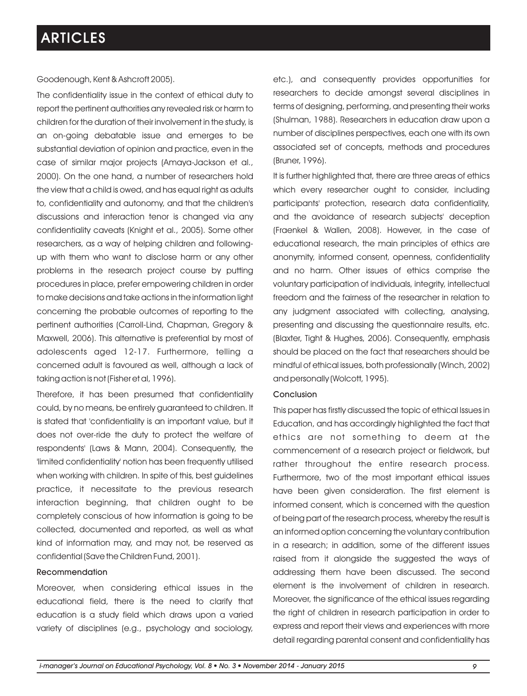Goodenough, Kent & Ashcroft 2005).

The confidentiality issue in the context of ethical duty to report the pertinent authorities any revealed risk or harm to children for the duration of their involvement in the study, is an on-going debatable issue and emerges to be substantial deviation of opinion and practice, even in the case of similar major projects (Amaya-Jackson et al., 2000). On the one hand, a number of researchers hold the view that a child is owed, and has equal right as adults to, confidentiality and autonomy, and that the children's discussions and interaction tenor is changed via any confidentiality caveats (Knight et al., 2005). Some other researchers, as a way of helping children and followingup with them who want to disclose harm or any other problems in the research project course by putting procedures in place, prefer empowering children in order to make decisions and take actions in the information light concerning the probable outcomes of reporting to the pertinent authorities (Carroll-Lind, Chapman, Gregory & Maxwell, 2006). This alternative is preferential by most of adolescents aged 12-17. Furthermore, telling a concerned adult is favoured as well, although a lack of taking action is not (Fisher et al, 1996).

Therefore, it has been presumed that confidentiality could, by no means, be entirely guaranteed to children. It is stated that 'confidentiality is an important value, but it does not over-ride the duty to protect the welfare of respondents' (Laws & Mann, 2004). Consequently, the 'limited confidentiality' notion has been frequently utilised when working with children. In spite of this, best guidelines practice, it necessitate to the previous research interaction beginning, that children ought to be completely conscious of how information is going to be collected, documented and reported, as well as what kind of information may, and may not, be reserved as confidential (Save the Children Fund, 2001).

#### Recommendation

Moreover, when considering ethical issues in the educational field, there is the need to clarify that education is a study field which draws upon a varied variety of disciplines (e.g., psychology and sociology,

etc.), and consequently provides opportunities for researchers to decide amongst several disciplines in terms of designing, performing, and presenting their works (Shulman, 1988). Researchers in education draw upon a number of disciplines perspectives, each one with its own associated set of concepts, methods and procedures (Bruner, 1996).

It is further highlighted that, there are three areas of ethics which every researcher ought to consider, including participants' protection, research data confidentiality, and the avoidance of research subjects' deception (Fraenkel & Wallen, 2008). However, in the case of educational research, the main principles of ethics are anonymity, informed consent, openness, confidentiality and no harm. Other issues of ethics comprise the voluntary participation of individuals, integrity, intellectual freedom and the fairness of the researcher in relation to any judgment associated with collecting, analysing, presenting and discussing the questionnaire results, etc. (Blaxter, Tight & Hughes, 2006). Consequently, emphasis should be placed on the fact that researchers should be mindful of ethical issues, both professionally (Winch, 2002) and personally (Wolcott, 1995).

#### Conclusion

This paper has firstly discussed the topic of ethical Issues in Education, and has accordingly highlighted the fact that ethics are not something to deem at the commencement of a research project or fieldwork, but rather throughout the entire research process. Furthermore, two of the most important ethical issues have been given consideration. The first element is informed consent, which is concerned with the question of being part of the research process, whereby the result is an informed option concerning the voluntary contribution in a research; in addition, some of the different issues raised from it alongside the suggested the ways of addressing them have been discussed. The second element is the involvement of children in research. Moreover, the significance of the ethical issues regarding the right of children in research participation in order to express and report their views and experiences with more detail regarding parental consent and confidentiality has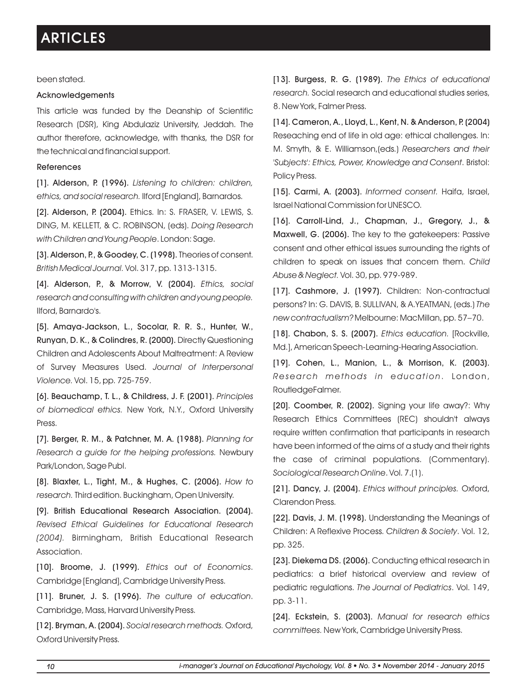been stated.

### Acknowledgements

This article was funded by the Deanship of Scientific Research (DSR), King Abdulaziz University, Jeddah. The author therefore, acknowledge, with thanks, the DSR for the technical and financial support.

### References

[1]. Alderson, P. (1996). *Listening to children: children, ethics, and social research.* Ilford [England], Barnardos.

[2]. Alderson, P. (2004). Ethics. In: S. FRASER, V. LEWIS, S. DING, M. KELLETT, & C. ROBINSON, (eds). *Doing Research with Children and Young People*. London: Sage.

[3]. Alderson, P., & Goodey, C. (1998). Theories of consent. *British Medical Journal.* Vol. 317, pp. 1313-1315.

[4]. Alderson, P., & Morrow, V. (2004). *Ethics, social research and consulting with children and young people.* Ilford, Barnardo's.

[5]. Amaya-Jackson, L., Socolar, R. R. S., Hunter, W., Runyan, D. K., & Colindres, R. (2000). Directly Questioning Children and Adolescents About Maltreatment: A Review of Survey Measures Used. *Journal of Interpersonal Violence.* Vol. 15, pp. 725-759.

[6]. Beauchamp, T. L., & Childress, J. F. (2001). *Principles of biomedical ethics.* New York, N.Y., Oxford University Press.

[7]. Berger, R. M., & Patchner, M. A. (1988). *Planning for Research a guide for the helping professions.* Newbury Park/London, Sage Publ.

[8]. Blaxter, L., Tight, M., & Hughes, C. (2006). *How to research.*Third edition. Buckingham, Open University.

[9]. British Educational Research Association. (2004). *Revised Ethical Guidelines for Educational Research (2004).* Birmingham, British Educational Research Association.

[10]. Broome, J. (1999). *Ethics out of Economics*. Cambridge [England], Cambridge University Press.

[11]. Bruner, J. S. (1996). *The culture of education*. Cambridge, Mass, Harvard University Press.

[12]. Bryman, A. (2004). *Social research methods.* Oxford, Oxford University Press.

[13]. Burgess, R. G. (1989). *The Ethics of educational research.* Social research and educational studies series, 8. New York, Falmer Press.

[14]. Cameron, A., Lloyd, L., Kent, N. & Anderson, P. (2004) Reseaching end of life in old age: ethical challenges. In: M. Smyth, & E. Williamson,(eds.) *Researchers and their 'Subjects': Ethics, Power, Knowledge and Consent*. Bristol: Policy Press.

[15]. Carmi, A. (2003). *Informed consent.* Haifa, Israel, Israel National Commission for UNESCO.

[16]. Carroll-Lind, J., Chapman, J., Gregory, J., & Maxwell, G. (2006). The key to the gatekeepers: Passive consent and other ethical issues surrounding the rights of children to speak on issues that concern them. *Child Abuse & Neglect.* Vol. 30, pp. 979-989.

[17]. Cashmore, J. (1997). Children: Non-contractual persons? In: G. DAVIS, B. SULLIVAN, & A.YEATMAN, (eds.) *The new contractualism?* Melbourne: MacMillan, pp. 57–70.

[18]. Chabon, S. S. (2007). *Ethics education.* [Rockville, Md.], American Speech-Learning-Hearing Association.

[19]. Cohen, L., Manion, L., & Morrison, K. (2003). *Research met hods i n educat ion* . London, RoutledgeFalmer.

[20]. Coomber, R. (2002). Signing your life away?: Why Research Ethics Committees (REC) shouldn't always require written confirmation that participants in research have been informed of the aims of a study and their rights the case of criminal populations. (Commentary). *Sociological Research Online*. Vol. 7.(1).

[21]. Dancy, J. (2004). *Ethics without principles.* Oxford, Clarendon Press.

[22]. Davis, J. M. (1998). Understanding the Meanings of Children: A Reflexive Process. *Children & Society*. Vol. 12, pp. 325.

[23]. Diekema DS. (2006). Conducting ethical research in pediatrics: a brief historical overview and review of pediatric regulations. *The Journal of Pediatrics*. Vol. 149, pp. 3-11.

[24]. Eckstein, S. (2003). *Manual for research ethics committees.* New York, Cambridge University Press.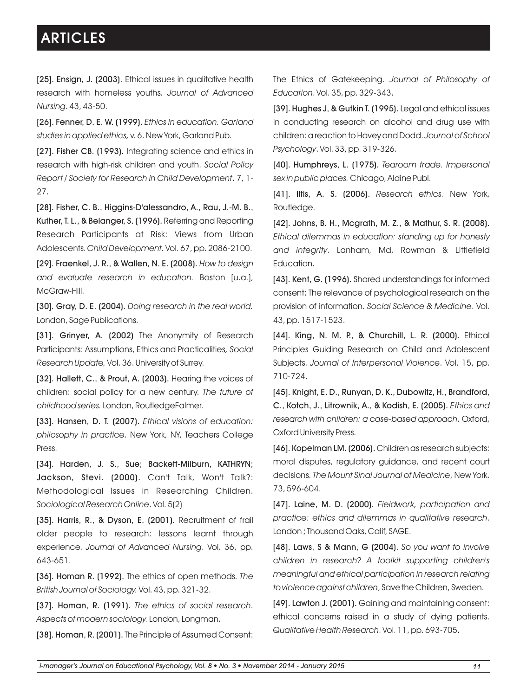[25]. Ensign, J. (2003). Ethical issues in qualitative health research with homeless youths. *Journal of Advanced Nursing*. 43, 43-50.

[26]. Fenner, D. E. W. (1999). *Ethics in education. Garland studies in applied ethics,* v. 6. New York, Garland Pub.

[27]. Fisher CB. (1993). Integrating science and ethics in research with high-risk children and youth. *Social Policy Report / Society for Research in Child Development*. 7, 1- 27.

[28]. Fisher, C. B., Higgins-D'alessandro, A., Rau, J.-M. B., Kuther, T. L., & Belanger, S. (1996). Referring and Reporting Research Participants at Risk: Views from Urban Adolescents. *Child Development.* Vol. 67, pp. 2086-2100.

[29]. Fraenkel, J. R., & Wallen, N. E. (2008). *How to design and evaluate research in education.* Boston [u.a.], McGraw-Hill.

[30]. Gray, D. E. (2004). *Doing research in the real world.*  London, Sage Publications.

[31]. Grinyer, A. (2002) The Anonymity of Research Participants: Assumptions, Ethics and Practicalities*, Social Research Update,* Vol. 36. University of Surrey.

[32]. Hallett, C., & Prout, A. (2003). Hearing the voices of children: social policy for a new century. *The future of childhood series.* London, RoutledgeFalmer.

[33]. Hansen, D. T. (2007). *Ethical visions of education: philosophy in practice*. New York, NY, Teachers College Press.

[34]. Harden, J. S., Sue; Backett-Milburn, KATHRYN; Jackson, Stevi. (2000). Can't Talk, Won't Talk?: Methodological Issues in Researching Children. *Sociological Research Online*. Vol. 5(2)

[35]. Harris, R., & Dyson, E. (2001). Recruitment of frail older people to research: lessons learnt through experience. *Journal of Advanced Nursing*. Vol. 36, pp. 643-651.

[36]. Homan R. (1992). The ethics of open methods. *The British Journal of Sociology.* Vol. 43, pp. 321-32.

[37]. Homan, R. (1991). *The ethics of social research*. *Aspects of modern sociology.* London, Longman.

[38]. Homan, R. (2001). The Principle of Assumed Consent:

The Ethics of Gatekeeping. *Journal of Philosophy of Education*. Vol. 35, pp. 329-343.

[39]. Hughes J, & Gutkin T. (1995). Legal and ethical issues in conducting research on alcohol and drug use with children: a reaction to Havey and Dodd. *Journal of School Psychology*. Vol. 33, pp. 319-326.

[40]. Humphreys, L. (1975). *Tearoom trade. Impersonal sex in public places.* Chicago, Aldine Publ.

[41]. Iltis, A. S. (2006). *Research ethics.* New York, Routledge.

[42]. Johns, B. H., Mcgrath, M. Z., & Mathur, S. R. (2008). *Ethical dilemmas in education: standing up for honesty and integrity*. Lanham, Md, Rowman & LIttlefield Education.

[43]. Kent, G. (1996). Shared understandings for informed consent: The relevance of psychological research on the provision of information. *Social Science & Medicine*. Vol. 43, pp. 1517-1523.

[44]. King, N. M. P., & Churchill, L. R. (2000). Ethical Principles Guiding Research on Child and Adolescent Subjects. *Journal of Interpersonal Violence*. Vol. 15, pp. 710-724.

[45]. Knight, E. D., Runyan, D. K., Dubowitz, H., Brandford, C., Kotch, J., Litrownik, A., & Kodish, E. (2005). *Ethics and research with children: a case-based approach*. Oxford, Oxford University Press.

[46]. Kopelman LM. (2006). Children as research subjects: moral disputes, regulatory guidance, and recent court decisions. *The Mount Sinai Journal of Medicine*, New York. 73, 596-604.

[47]. Laine, M. D. (2000). *Fieldwork, participation and practice: ethics and dilemmas in qualitative research*. London ; Thousand Oaks, Calif, SAGE.

[48]. Laws, S & Mann, G (2004). *So you want to involve children in research? A toolkit supporting children's meaningful and ethical participation in research relating to violence against children*, Save the Children, Sweden.

[49]. Lawton J. (2001). Gaining and maintaining consent: ethical concerns raised in a study of dying patients. *Qualitative Health Research*. Vol. 11, pp. 693-705.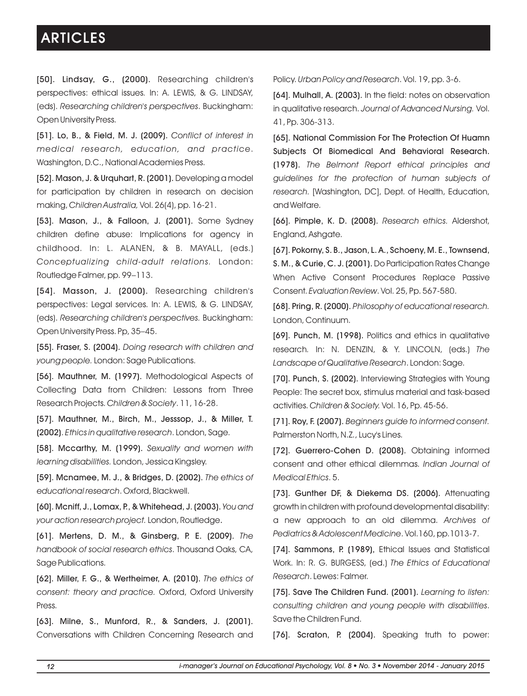[50]. Lindsay, G., (2000). Researching children's perspectives: ethical issues*.* In: A. LEWIS, & G. LINDSAY, (eds). *Researching children's perspectives*. Buckingham: Open University Press.

[51]. Lo, B., & Field, M. J. (2009). *Conflict of interest in medical research, education, and practice*. Washington, D.C., National Academies Press.

[52]. Mason, J. & Urquhart, R. (2001). Developing a model for participation by children in research on decision making, *Children Australia,* Vol. 26(4), pp. 16-21.

[53]. Mason, J., & Falloon, J. (2001). Some Sydney children define abuse: Implications for agency in childhood. In: L. ALANEN, & B. MAYALL, (eds.) *Conceptualizing child-adult relations.* London: Routledge Falmer, pp. 99–113.

[54]. Masson, J. (2000). Researching children's perspectives: Legal services. In: A. LEWIS, & G. LINDSAY, (eds). *Researching children's perspectives.* Buckingham: Open University Press. Pp, 35–45.

[55]. Fraser, S. (2004). *Doing research with children and young people.* London: Sage Publications.

[56]. Mauthner, M. (1997). Methodological Aspects of Collecting Data from Children: Lessons from Three Research Projects. *Children & Society*. 11, 16-28.

[57]. Mauthner, M., Birch, M., Jesssop, J., & Miller, T. (2002). *Ethics in qualitative research*. London, Sage.

[58]. Mccarthy, M. (1999). *Sexuality and women with learning disabilities.* London, Jessica Kingsley.

[59]. Mcnamee, M. J., & Bridges, D. (2002). *The ethics of educational research*. Oxford, Blackwell.

[60]. Mcniff, J., Lomax, P., & Whitehead, J. (2003). *You and your action research project.* London, Routledge.

[61]. Mertens, D. M., & Ginsberg, P. E. (2009). *The handbook of social research ethics*. Thousand Oaks, CA, Sage Publications.

[62]. Miller, F. G., & Wertheimer, A. (2010). *The ethics of consent: theory and practice.* Oxford, Oxford University Press.

[63]. Milne, S., Munford, R., & Sanders, J. (2001). Conversations with Children Concerning Research and Policy. *Urban Policy and Research*. Vol. 19, pp. 3-6.

[64]. Mulhall, A. (2003). In the field: notes on observation in qualitative research. *Journal of Advanced Nursing.* Vol. 41, Pp. 306-313.

[65]. National Commission For The Protection Of Huamn Subjects Of Biomedical And Behavioral Research. (1978). *The Belmont Report ethical principles and guidelines for the protection of human subjects of research.* [Washington, DC], Dept. of Health, Education, and Welfare.

[66]. Pimple, K. D. (2008). *Research ethics.* Aldershot, England, Ashgate.

[67]. Pokorny, S. B., Jason, L. A., Schoeny, M. E., Townsend, S. M., & Curie, C. J. (2001). Do Participation Rates Change When Active Consent Procedures Replace Passive Consent. *Evaluation Review*. Vol. 25, Pp. 567-580.

[68]. Pring, R. (2000). *Philosophy of educational research.* London, Continuum.

[69]. Punch, M. (1998). Politics and ethics in qualitative research*.* In: N. DENZIN, & Y. LINCOLN, (eds.) *The Landscape of Qualitative Research*. London: Sage.

[70]. Punch, S. (2002). Interviewing Strategies with Young People: The secret box, stimulus material and task-based activities. *Children & Society.* Vol. 16, Pp. 45-56.

[71]. Roy, F. (2007). *Beginners guide to informed consent.* Palmerston North, N.Z., Lucy's Lines.

[72]. Guerrero-Cohen D. (2008). Obtaining informed consent and other ethical dilemmas. *Indian Journal of Medical Ethics*. 5.

[73]. Gunther DF, & Diekema DS. (2006). Attenuating growth in children with profound developmental disability: a new approach to an old dilemma. *Archives of Pediatrics & Adolescent Medicine*. Vol.160, pp.1013-7.

[74]. Sammons, P. (1989), Ethical Issues and Statistical Work. In: R. G. BURGESS, (ed.) *The Ethics of Educational Research*. Lewes: Falmer.

[75]. Save The Children Fund. (2001). *Learning to listen: consulting children and young people with disabilities*. Save the Children Fund.

[76]. Scraton, P. (2004). Speaking truth to power: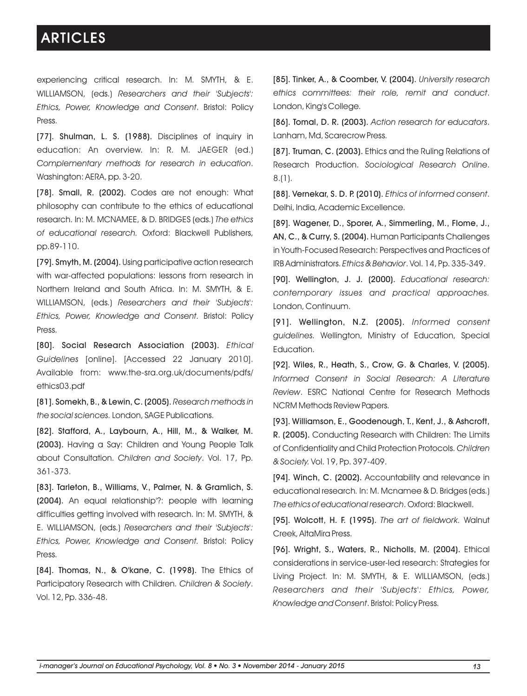experiencing critical research. In: M. SMYTH, & E. WILLIAMSON, (eds.) *Researchers and their 'Subjects': Ethics, Power, Knowledge and Consent*. Bristol: Policy Press.

[77]. Shulman, L. S. (1988). Disciplines of inquiry in education: An overview. In: R. M. JAEGER (ed.) *Complementary methods for research in education*. Washington: AERA, pp. 3-20.

[78]. Small, R. (2002). Codes are not enough: What philosophy can contribute to the ethics of educational research. In: M. MCNAMEE, & D. BRIDGES (eds.) *The ethics of educational research.* Oxford: Blackwell Publishers, pp.89-110.

[79]. Smyth, M. (2004). Using participative action research with war-affected populations: lessons from research in Northern Ireland and South Africa. In: M. SMYTH, & E. WILLIAMSON, (eds.) *Researchers and their 'Subjects': Ethics, Power, Knowledge and Consent.* Bristol: Policy Press.

[80]. Social Research Association (2003). *Ethical Guidelines* [online]. [Accessed 22 January 2010]. Available from: www.the-sra.org.uk/documents/pdfs/ ethics03.pdf

[81]. Somekh, B., & Lewin, C. (2005). *Research methods in the social sciences.* London, SAGE Publications.

[82]. Stafford, A., Laybourn, A., Hill, M., & Walker, M. (2003). Having a Say: Children and Young People Talk about Consultation. *Children and Society*. Vol. 17, Pp. 361-373.

[83]. Tarleton, B., Williams, V., Palmer, N. & Gramlich, S. (2004). An equal relationship'?: people with learning difficulties getting involved with research. In: M. SMYTH, & E. WILLIAMSON, (eds.) *Researchers and their 'Subjects': Ethics, Power, Knowledge and Consent.* Bristol: Policy Press.

[84]. Thomas, N., & O'kane, C. (1998). The Ethics of Participatory Research with Children. *Children & Society*. Vol. 12, Pp. 336-48.

[85]. Tinker, A., & Coomber, V. (2004). *University research ethics committees: their role, remit and conduct*. London, King's College.

[86]. Tomal, D. R. (2003). *Action research for educators*. Lanham, Md, Scarecrow Press.

[87]. Truman, C. (2003). Ethics and the Ruling Relations of Research Production. *Sociological Research Online*. 8.(1).

[88]. Vernekar, S. D. P. (2010). *Ethics of informed consent*. Delhi, India, Academic Excellence.

[89]. Wagener, D., Sporer, A., Simmerling, M., Flome, J., AN, C., & Curry, S. (2004). Human Participants Challenges in Youth-Focused Research: Perspectives and Practices of IRB Administrators. *Ethics & Behavior*. Vol. 14, Pp. 335-349.

[90]. Wellington, J. J. (2000). *Educational research: contemporary issues and practical approaches.* London, Continuum.

[91]. Wellington, N.Z. (2005). *Informed consent guidelines.* Wellington, Ministry of Education, Special Education.

[92]. Wiles, R., Heath, S., Crow, G. & Charles, V. (2005). *Informed Consent in Social Research: A Literature Review*. ESRC National Centre for Research Methods NCRM Methods Review Papers.

[93]. Williamson, E., Goodenough, T., Kent, J., & Ashcroft, R. (2005). Conducting Research with Children: The Limits of Confidentiality and Child Protection Protocols. *Children & Society.* Vol. 19, Pp. 397-409.

[94]. Winch, C. (2002). Accountability and relevance in educational research*.* In: M. Mcnamee & D. Bridges (eds.) *The ethics of educational research*. Oxford: Blackwell.

[95]. Wolcott, H. F. (1995). *The art of fieldwork.* Walnut Creek, AltaMira Press.

[96]. Wright, S., Waters, R., Nicholls, M. (2004). Ethical considerations in service-user-led research: Strategies for Living Project. In: M. SMYTH, & E. WILLIAMSON, (eds.) *Researchers and their 'Subjects': Ethics, Power, Knowledge and Consent*. Bristol: Policy Press.